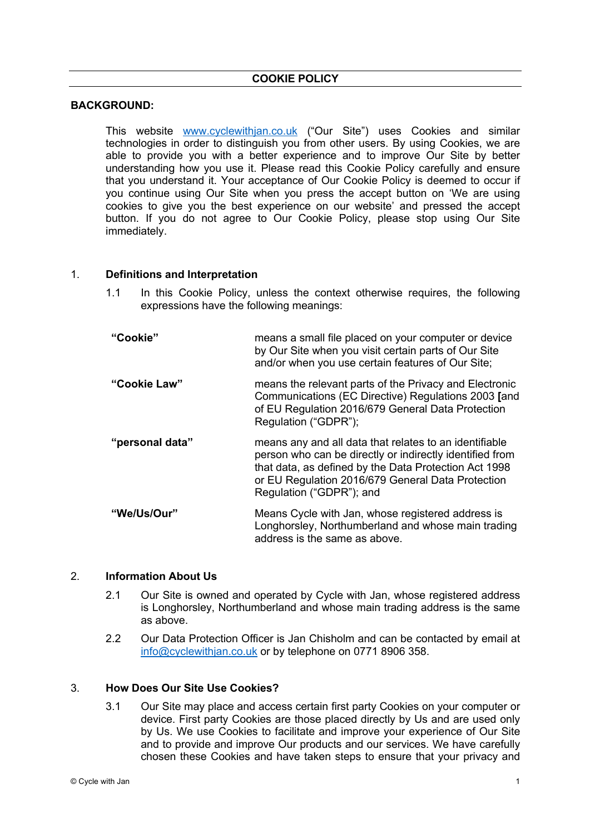## **COOKIE POLICY**

### **BACKGROUND:**

This website www.cyclewithjan.co.uk ("Our Site") uses Cookies and similar technologies in order to distinguish you from other users. By using Cookies, we are able to provide you with a better experience and to improve Our Site by better understanding how you use it. Please read this Cookie Policy carefully and ensure that you understand it. Your acceptance of Our Cookie Policy is deemed to occur if you continue using Our Site when you press the accept button on 'We are using cookies to give you the best experience on our website' and pressed the accept button. If you do not agree to Our Cookie Policy, please stop using Our Site immediately.

### 1. **Definitions and Interpretation**

- 1.1 In this Cookie Policy, unless the context otherwise requires, the following expressions have the following meanings:
- **"Cookie"** means a small file placed on your computer or device by Our Site when you visit certain parts of Our Site and/or when you use certain features of Our Site; **"Cookie Law"** means the relevant parts of the Privacy and Electronic Communications (EC Directive) Regulations 2003 **[**and of EU Regulation 2016/679 General Data Protection Regulation ("GDPR"); **"personal data"** means any and all data that relates to an identifiable person who can be directly or indirectly identified from that data, as defined by the Data Protection Act 1998 or EU Regulation 2016/679 General Data Protection Regulation ("GDPR"); and **"We/Us/Our"** Means Cycle with Jan, whose registered address is Longhorsley, Northumberland and whose main trading address is the same as above.

# 2. **Information About Us**

- 2.1 Our Site is owned and operated by Cycle with Jan, whose registered address is Longhorsley, Northumberland and whose main trading address is the same as above.
- 2.2 Our Data Protection Officer is Jan Chisholm and can be contacted by email at info@cyclewithjan.co.uk or by telephone on 0771 8906 358.

### 3. **How Does Our Site Use Cookies?**

3.1 Our Site may place and access certain first party Cookies on your computer or device. First party Cookies are those placed directly by Us and are used only by Us. We use Cookies to facilitate and improve your experience of Our Site and to provide and improve Our products and our services. We have carefully chosen these Cookies and have taken steps to ensure that your privacy and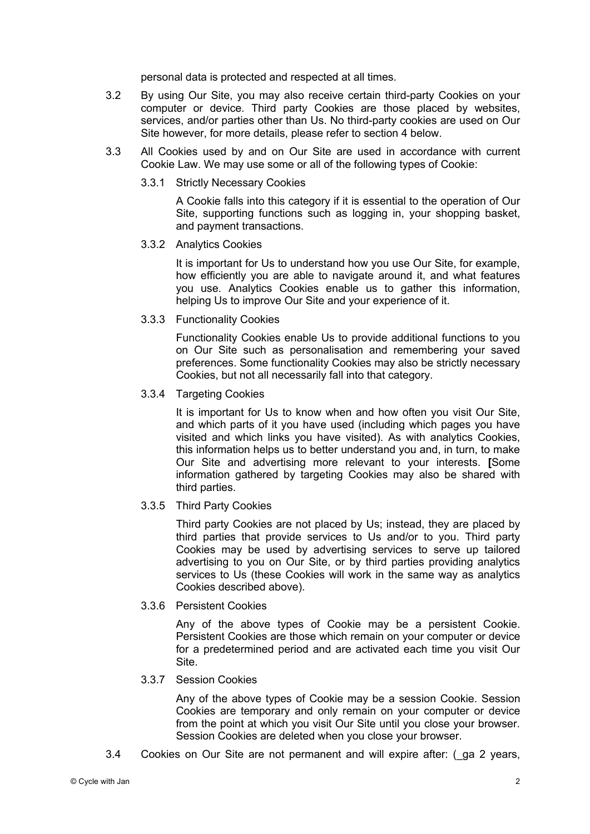personal data is protected and respected at all times.

- 3.2 By using Our Site, you may also receive certain third-party Cookies on your computer or device. Third party Cookies are those placed by websites, services, and/or parties other than Us. No third-party cookies are used on Our Site however, for more details, please refer to section 4 below.
- 3.3 All Cookies used by and on Our Site are used in accordance with current Cookie Law. We may use some or all of the following types of Cookie:
	- 3.3.1 Strictly Necessary Cookies

A Cookie falls into this category if it is essential to the operation of Our Site, supporting functions such as logging in, your shopping basket, and payment transactions.

#### 3.3.2 Analytics Cookies

It is important for Us to understand how you use Our Site, for example, how efficiently you are able to navigate around it, and what features you use. Analytics Cookies enable us to gather this information, helping Us to improve Our Site and your experience of it.

3.3.3 Functionality Cookies

Functionality Cookies enable Us to provide additional functions to you on Our Site such as personalisation and remembering your saved preferences. Some functionality Cookies may also be strictly necessary Cookies, but not all necessarily fall into that category.

### 3.3.4 Targeting Cookies

It is important for Us to know when and how often you visit Our Site, and which parts of it you have used (including which pages you have visited and which links you have visited). As with analytics Cookies, this information helps us to better understand you and, in turn, to make Our Site and advertising more relevant to your interests. **[**Some information gathered by targeting Cookies may also be shared with third parties.

# 3.3.5 Third Party Cookies

Third party Cookies are not placed by Us; instead, they are placed by third parties that provide services to Us and/or to you. Third party Cookies may be used by advertising services to serve up tailored advertising to you on Our Site, or by third parties providing analytics services to Us (these Cookies will work in the same way as analytics Cookies described above).

# 3.3.6 Persistent Cookies

Any of the above types of Cookie may be a persistent Cookie. Persistent Cookies are those which remain on your computer or device for a predetermined period and are activated each time you visit Our Site.

### 3.3.7 Session Cookies

Any of the above types of Cookie may be a session Cookie. Session Cookies are temporary and only remain on your computer or device from the point at which you visit Our Site until you close your browser. Session Cookies are deleted when you close your browser.

3.4 Cookies on Our Site are not permanent and will expire after: (\_ga 2 years,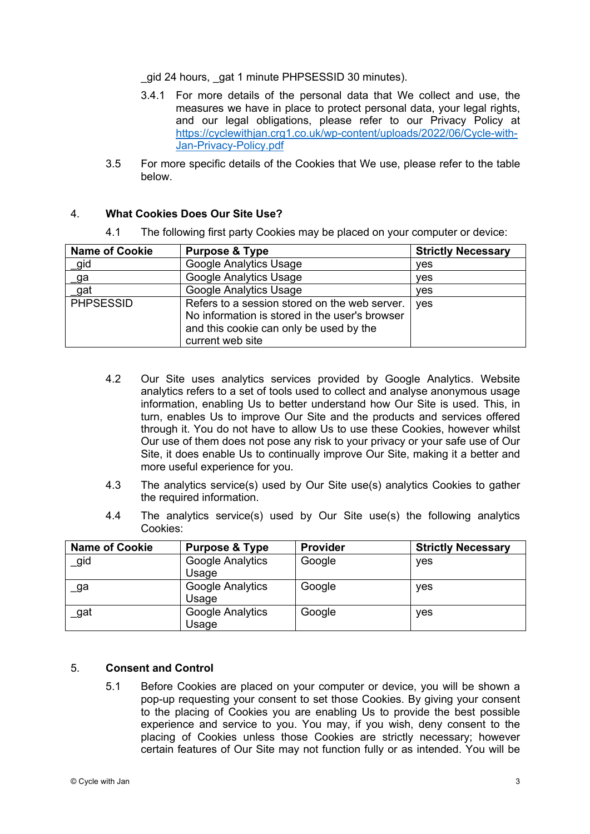gid 24 hours, gat 1 minute PHPSESSID 30 minutes).

- 3.4.1 For more details of the personal data that We collect and use, the measures we have in place to protect personal data, your legal rights, and our legal obligations, please refer to our Privacy Policy at https://cyclewithjan.crg1.co.uk/wp-content/uploads/2022/06/Cycle-with-Jan-Privacy-Policy.pdf
- 3.5 For more specific details of the Cookies that We use, please refer to the table below.

### 4. **What Cookies Does Our Site Use?**

|  | 4.1 |  |  |  | The following first party Cookies may be placed on your computer or device: |
|--|-----|--|--|--|-----------------------------------------------------------------------------|
|--|-----|--|--|--|-----------------------------------------------------------------------------|

| <b>Name of Cookie</b> | <b>Purpose &amp; Type</b>                                                                                                                                      | <b>Strictly Necessary</b> |
|-----------------------|----------------------------------------------------------------------------------------------------------------------------------------------------------------|---------------------------|
| _gid                  | Google Analytics Usage                                                                                                                                         | ves                       |
| <u>_g</u> a           | Google Analytics Usage                                                                                                                                         | ves                       |
| gat                   | <b>Google Analytics Usage</b>                                                                                                                                  | yes                       |
| <b>PHPSESSID</b>      | Refers to a session stored on the web server.<br>No information is stored in the user's browser<br>and this cookie can only be used by the<br>current web site | ves                       |

- 4.2 Our Site uses analytics services provided by Google Analytics. Website analytics refers to a set of tools used to collect and analyse anonymous usage information, enabling Us to better understand how Our Site is used. This, in turn, enables Us to improve Our Site and the products and services offered through it. You do not have to allow Us to use these Cookies, however whilst Our use of them does not pose any risk to your privacy or your safe use of Our Site, it does enable Us to continually improve Our Site, making it a better and more useful experience for you.
- 4.3 The analytics service(s) used by Our Site use(s) analytics Cookies to gather the required information.
- 4.4 The analytics service(s) used by Our Site use(s) the following analytics Cookies:

| <b>Name of Cookie</b> | <b>Purpose &amp; Type</b>        | <b>Provider</b> | <b>Strictly Necessary</b> |
|-----------------------|----------------------------------|-----------------|---------------------------|
| gid                   | Google Analytics<br>Usage        | Google          | yes                       |
| _ga                   | <b>Google Analytics</b><br>Usage | Google          | yes                       |
| _gat                  | Google Analytics<br>Usage        | Google          | yes                       |

# 5. **Consent and Control**

5.1 Before Cookies are placed on your computer or device, you will be shown a pop-up requesting your consent to set those Cookies. By giving your consent to the placing of Cookies you are enabling Us to provide the best possible experience and service to you. You may, if you wish, deny consent to the placing of Cookies unless those Cookies are strictly necessary; however certain features of Our Site may not function fully or as intended. You will be